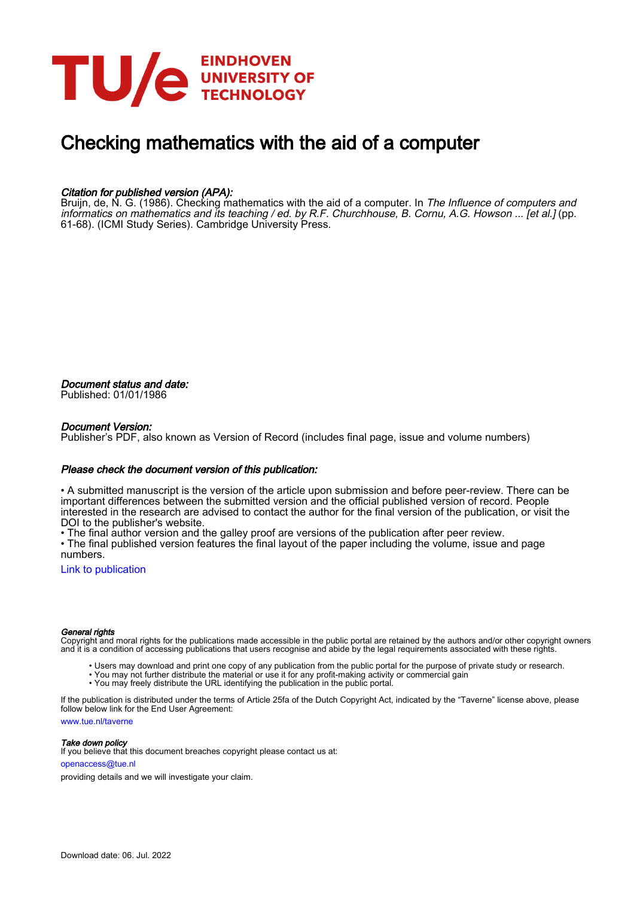

# Checking mathematics with the aid of a computer

# Citation for published version (APA):

Bruijn, de, N. G. (1986). Checking mathematics with the aid of a computer. In The Influence of computers and informatics on mathematics and its teaching / ed. by R.F. Churchhouse, B. Cornu, A.G. Howson ... [et al.] (pp. 61-68). (ICMI Study Series). Cambridge University Press.

Document status and date: Published: 01/01/1986

### Document Version:

Publisher's PDF, also known as Version of Record (includes final page, issue and volume numbers)

### Please check the document version of this publication:

• A submitted manuscript is the version of the article upon submission and before peer-review. There can be important differences between the submitted version and the official published version of record. People interested in the research are advised to contact the author for the final version of the publication, or visit the DOI to the publisher's website.

• The final author version and the galley proof are versions of the publication after peer review.

• The final published version features the final layout of the paper including the volume, issue and page numbers.

[Link to publication](https://research.tue.nl/en/publications/277018a8-f49f-49b5-b1cd-35c483ca2108)

#### General rights

Copyright and moral rights for the publications made accessible in the public portal are retained by the authors and/or other copyright owners and it is a condition of accessing publications that users recognise and abide by the legal requirements associated with these rights.

- Users may download and print one copy of any publication from the public portal for the purpose of private study or research.
- You may not further distribute the material or use it for any profit-making activity or commercial gain
- You may freely distribute the URL identifying the publication in the public portal.

If the publication is distributed under the terms of Article 25fa of the Dutch Copyright Act, indicated by the "Taverne" license above, please follow below link for the End User Agreement:

www.tue.nl/taverne

**Take down policy**<br>If you believe that this document breaches copyright please contact us at:

openaccess@tue.nl

providing details and we will investigate your claim.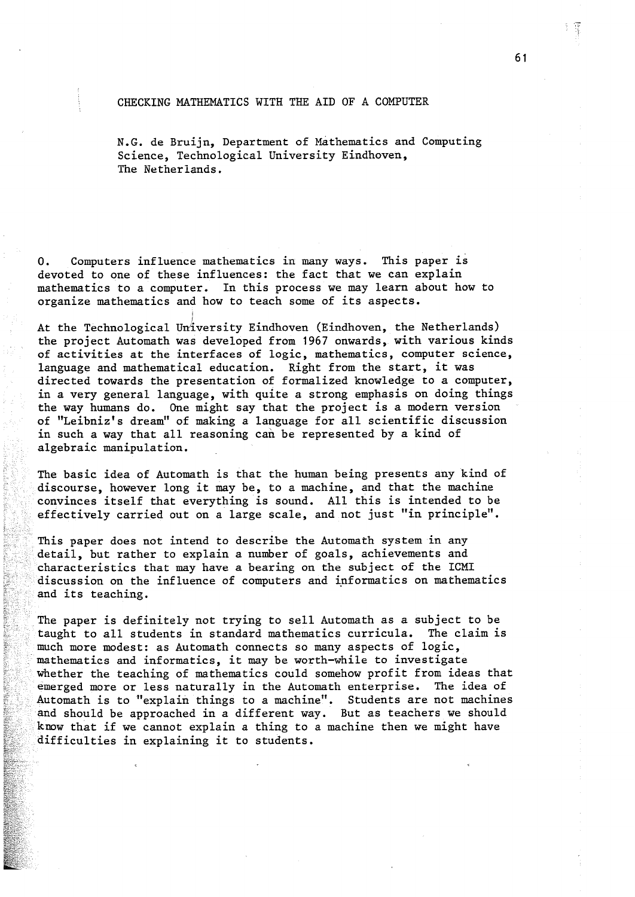#### CHECKING MATHEMATICS WITH THE AID OF A COMPUTER

N.G. de Bruijn, Department of Mathematics and Computing Science, Technological University Eindhoven, The Netherlands.

Computers influence mathematics in many ways. This paper is 0. devoted to one of these influences: the fact that we can explain mathematics to a computer. In this process we may learn about how to organize mathematics and how to teach some of its aspects.

At the Technological University Eindhoven (Eindhoven, the Netherlands) the project Automath was developed from 1967 onwards, with various kinds of activities at the interfaces of logic, mathematics, computer science, language and mathematical education. Right from the start, it was directed towards the presentation of formalized knowledge to a computer, in a very general language, with quite a strong emphasis on doing things the way humans do. One might say that the project is a modern version of "Leibniz's dream" of making a language for all scientific discussion in such a way that all reasoning can be represented by a kind of algebraic manipulation.

The basic idea of Automath is that the human being presents any kind of discourse, however long it may be, to a machine, and that the machine convinces itself that everything is sound. All this is intended to be effectively carried out on a large scale, and not just "in principle".

This paper does not intend to describe the Automath system in any detail, but rather to explain a number of goals, achievements and characteristics that may have a bearing on the subject of the ICMI discussion on the influence of computers and informatics on mathematics and its teaching.

The paper is definitely not trying to sell Automath as a subject to be taught to all students in standard mathematics curricula. The claim is much more modest: as Automath connects so many aspects of logic, mathematics and informatics, it may be worth-while to investigate whether the teaching of mathematics could somehow profit from ideas that emerged more or less naturally in the Automath enterprise. The idea of Automath is to "explain things to a machine". Students are not machines<br>and should be approached in a different way. But as teachers we should know that if we cannot explain a thing to a machine then we might have difficulties in explaining it to students.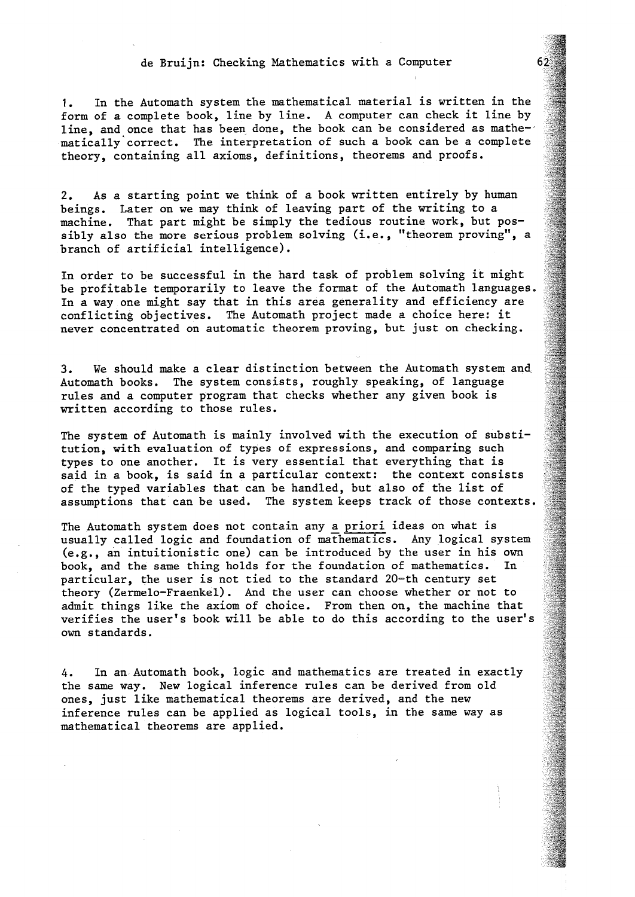In the Automath system the mathematical material is written in the  $1.$ form of a complete book, line by line. A computer can check it line by line, and once that has been done, the book can be considered as mathematically correct. The interpretation of such a book can be a complete theory, containing all axioms, definitions, theorems and proofs.

As a starting point we think of a book written entirely by human  $2.$ beings. Later on we may think of leaving part of the writing to a machine. That part might be simply the tedious routine work, but possibly also the more serious problem solving (i.e., "theorem proving", a branch of artificial intelligence).

In order to be successful in the hard task of problem solving it might be profitable temporarily to leave the format of the Automath languages. In a way one might say that in this area generality and efficiency are conflicting objectives. The Automath project made a choice here: it never concentrated on automatic theorem proving, but just on checking.

 $3.$ We should make a clear distinction between the Automath system and Automath books. The system consists, roughly speaking, of language rules and a computer program that checks whether any given book is written according to those rules.

The system of Automath is mainly involved with the execution of substitution, with evaluation of types of expressions, and comparing such types to one another. It is very essential that everything that is said in a book, is said in a particular context: the context consists of the typed variables that can be handled, but also of the list of assumptions that can be used. The system keeps track of those contexts.

The Automath system does not contain any a priori ideas on what is usually called logic and foundation of mathematics. Any logical system (e.g., an intuitionistic one) can be introduced by the user in his own book, and the same thing holds for the foundation of mathematics. In particular, the user is not tied to the standard 20-th century set theory (Zermelo-Fraenkel). And the user can choose whether or not to admit things like the axiom of choice. From then on, the machine that verifies the user's book will be able to do this according to the user's own standards.

In an Automath book, logic and mathematics are treated in exactly 4. the same way. New logical inference rules can be derived from old ones, just like mathematical theorems are derived, and the new inference rules can be applied as logical tools, in the same way as mathematical theorems are applied.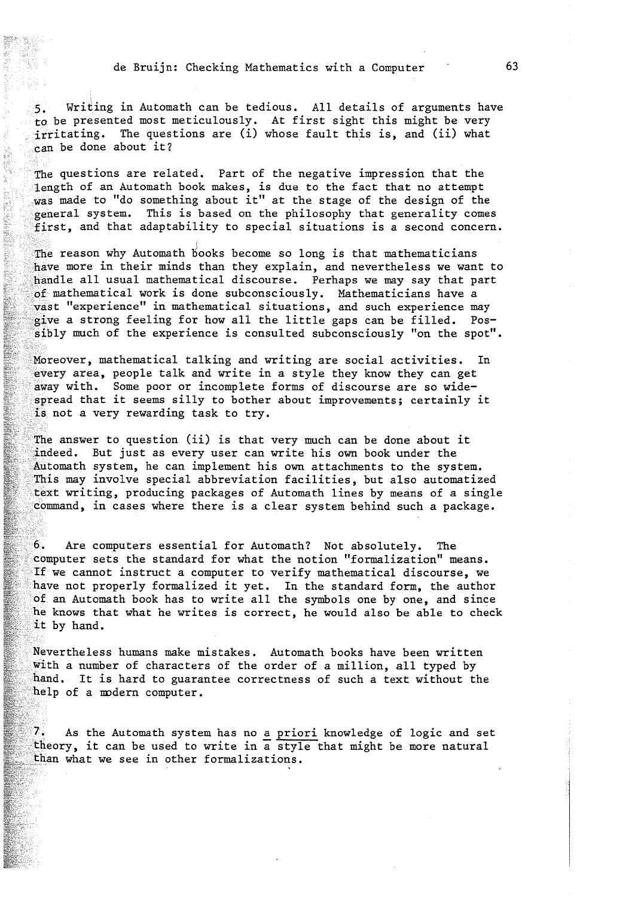Writing in Automath can be tedious. All details of arguments have 5. to be presented most meticulously. At first sight this might be very irritating. The questions are (i) whose fault this is, and (ii) what can be done about it?

The questions are related. Part of the negative impression that the length of an Automath book makes, is due to the fact that no attempt was made to "do something about it" at the stage of the design of the general system. This is based on the philosophy that generality comes first, and that adaptability to special situations is a second concern.

The reason why Automath books become so long is that mathematicians have more in their minds than they explain, and nevertheless we want to handle all usual mathematical discourse. Perhaps we may say that part of mathematical work is done subconsciously. Mathematicians have a vast "experience" in mathematical situations, and such experience may give a strong feeling for how all the little gaps can be filled. Possibly much of the experience is consulted subconsciously "on the spot".

Moreover, mathematical talking and writing are social activities. In every area, people talk and write in a style they know they can get away with. Some poor or incomplete forms of discourse are so widespread that it seems silly to bother about improvements; certainly it is not a very rewarding task to try.

The answer to question (ii) is that very much can be done about it indeed. But just as every user can write his own book under the Automath system, he can implement his own attachments to the system. This may involve special abbreviation facilities, but also automatized text writing, producing packages of Automath lines by means of a single command, in cases where there is a clear system behind such a package.

Are computers essential for Automath? Not absolutely. 6. The computer sets the standard for what the notion "formalization" means. If we cannot instruct a computer to verify mathematical discourse, we have not properly formalized it yet. In the standard form, the author of an Automath book has to write all the symbols one by one, and since he knows that what he writes is correct, he would also be able to check it by hand.

Nevertheless humans make mistakes. Automath books have been written with a number of characters of the order of a million, all typed by hand. It is hard to guarantee correctness of such a text without the help of a modern computer.

As the Automath system has no a priori knowledge of logic and set 7. theory, it can be used to write in a style that might be more natural than what we see in other formalizations.

63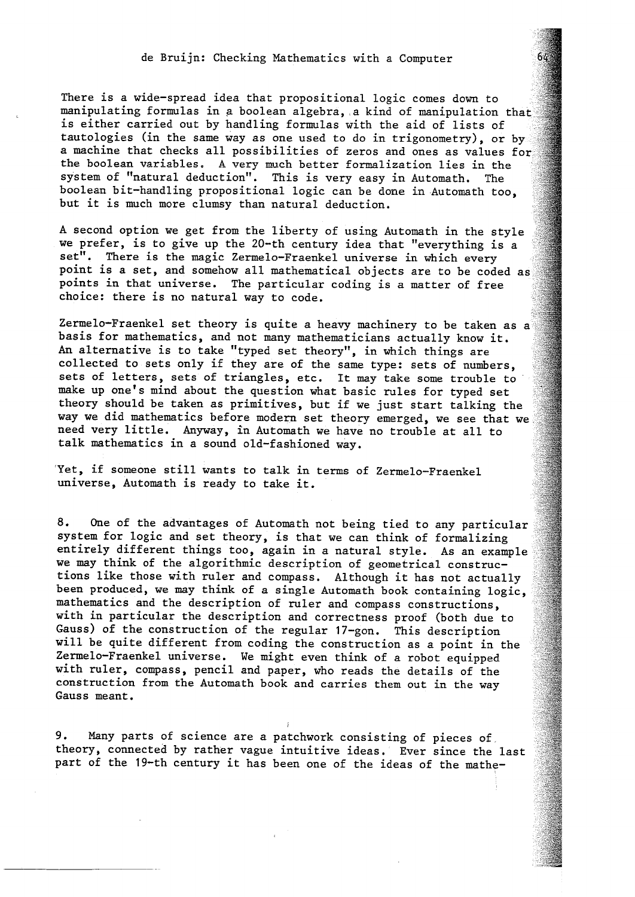There is a wide-spread idea that propositional logic comes down to manipulating formulas in a boolean algebra, a kind of manipulation that is either carried out by handling formulas with the aid of lists of tautologies (in the same way as one used to do in trigonometry), or by a machine that checks all possibilities of zeros and ones as values for the boolean variables. A very much better formalization lies in the system of "natural deduction". This is very easy in Automath. The boolean bit-handling propositional logic can be done in Automath too, but it is much more clumsy than natural deduction.

A second option we get from the liberty of using Automath in the style we prefer, is to give up the 20-th century idea that "everything is a set". There is the magic Zermelo-Fraenkel universe in which every point is a set, and somehow all mathematical objects are to be coded as points in that universe. The particular coding is a matter of free choice: there is no natural way to code.

Zermelo-Fraenkel set theory is quite a heavy machinery to be taken as a basis for mathematics, and not many mathematicians actually know it. An alternative is to take "typed set theory", in which things are collected to sets only if they are of the same type: sets of numbers, sets of letters, sets of triangles, etc. It may take some trouble to make up one's mind about the question what basic rules for typed set theory should be taken as primitives, but if we just start talking the way we did mathematics before modern set theory emerged, we see that we need very little. Anyway, in Automath we have no trouble at all to talk mathematics in a sound old-fashioned way.

Yet, if someone still wants to talk in terms of Zermelo-Fraenkel universe, Automath is ready to take it.

One of the advantages of Automath not being tied to any particular 8. system for logic and set theory, is that we can think of formalizing entirely different things too, again in a natural style. As an example we may think of the algorithmic description of geometrical constructions like those with ruler and compass. Although it has not actually been produced, we may think of a single Automath book containing logic, mathematics and the description of ruler and compass constructions, with in particular the description and correctness proof (both due to Gauss) of the construction of the regular 17-gon. This description will be quite different from coding the construction as a point in the Zermelo-Fraenkel universe. We might even think of a robot equipped with ruler, compass, pencil and paper, who reads the details of the construction from the Automath book and carries them out in the way Gauss meant.

Many parts of science are a patchwork consisting of pieces of.  $9.$ theory, connected by rather vague intuitive ideas. Ever since the last part of the 19-th century it has been one of the ideas of the mathe-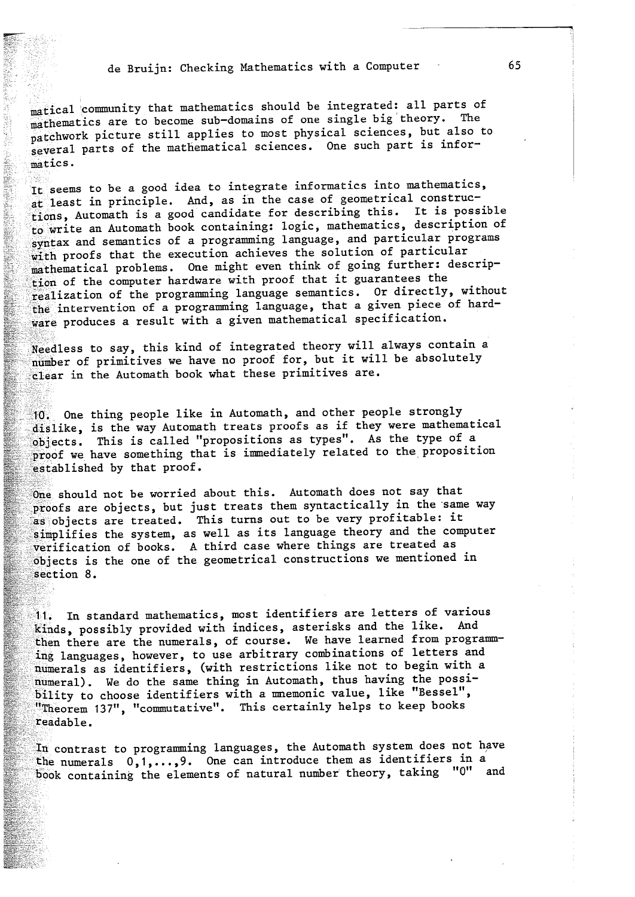matical community that mathematics should be integrated: all parts of mathematics are to become sub-domains of one single big theory. The patchwork picture still applies to most physical sciences, but also to several parts of the mathematical sciences. One such part is informatics.

It seems to be a good idea to integrate informatics into mathematics, at least in principle. And, as in the case of geometrical constructions, Automath is a good candidate for describing this. It is possible to write an Automath book containing: logic, mathematics, description of syntax and semantics of a programming language, and particular programs with proofs that the execution achieves the solution of particular mathematical problems. One might even think of going further: description of the computer hardware with proof that it guarantees the realization of the programming language semantics. Or directly, without the intervention of a programming language, that a given piece of hardware produces a result with a given mathematical specification.

Needless to say, this kind of integrated theory will always contain a number of primitives we have no proof for, but it will be absolutely clear in the Automath book what these primitives are.

10. One thing people like in Automath, and other people strongly dislike, is the way Automath treats proofs as if they were mathematical objects. This is called "propositions as types". As the type of a proof we have something that is immediately related to the proposition established by that proof.

One should not be worried about this. Automath does not say that proofs are objects, but just treats them syntactically in the same way as objects are treated. This turns out to be very profitable: it simplifies the system, as well as its language theory and the computer verification of books. A third case where things are treated as objects is the one of the geometrical constructions we mentioned in section 8.

11. In standard mathematics, most identifiers are letters of various kinds, possibly provided with indices, asterisks and the like. And then there are the numerals, of course. We have learned from programming languages, however, to use arbitrary combinations of letters and numerals as identifiers, (with restrictions like not to begin with a numeral). We do the same thing in Automath, thus having the possibility to choose identifiers with a mnemonic value, like "Bessel", "Theorem 137", "commutative". This certainly helps to keep books readable.

In contrast to programming languages, the Automath system does not have the numerals  $0,1,\ldots,9$ . One can introduce them as identifiers in a book containing the elements of natural number theory, taking "0" and

65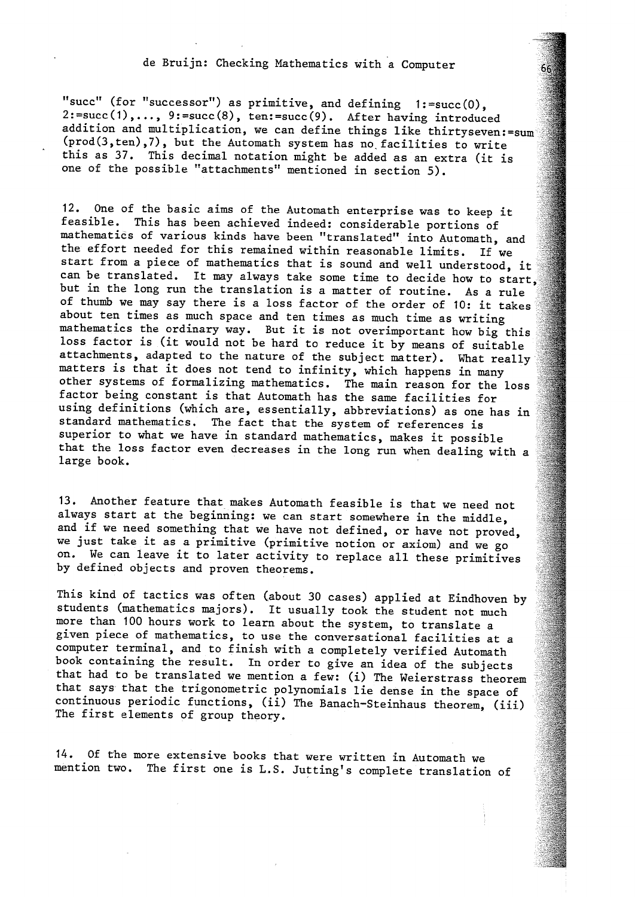"succ" (for "successor") as primitive, and defining 1:=succ(0),  $2:$ =succ(1),..., 9:=succ(8), ten:=succ(9). After having introduced addition and multiplication, we can define things like thirtyseven: = sum (prod(3,ten),7), but the Automath system has no facilities to write this as 37. This decimal notation might be added as an extra (it is one of the possible "attachments" mentioned in section 5).

12. One of the basic aims of the Automath enterprise was to keep it feasible. This has been achieved indeed: considerable portions of mathematics of various kinds have been "translated" into Automath, and the effort needed for this remained within reasonable limits. If we start from a piece of mathematics that is sound and well understood, it can be translated. It may always take some time to decide how to start, but in the long run the translation is a matter of routine. As a rule of thumb we may say there is a loss factor of the order of 10: it takes about ten times as much space and ten times as much time as writing mathematics the ordinary way. But it is not overimportant how big this loss factor is (it would not be hard to reduce it by means of suitable attachments, adapted to the nature of the subject matter). What really matters is that it does not tend to infinity, which happens in many other systems of formalizing mathematics. The main reason for the loss factor being constant is that Automath has the same facilities for using definitions (which are, essentially, abbreviations) as one has in standard mathematics. The fact that the system of references is superior to what we have in standard mathematics, makes it possible that the loss factor even decreases in the long run when dealing with a large book.

13. Another feature that makes Automath feasible is that we need not always start at the beginning: we can start somewhere in the middle, and if we need something that we have not defined, or have not proved, we just take it as a primitive (primitive notion or axiom) and we go on. We can leave it to later activity to replace all these primitives by defined objects and proven theorems.

This kind of tactics was often (about 30 cases) applied at Eindhoven by students (mathematics majors). It usually took the student not much more than 100 hours work to learn about the system, to translate a given piece of mathematics, to use the conversational facilities at a computer terminal, and to finish with a completely verified Automath book containing the result. In order to give an idea of the subjects that had to be translated we mention a few: (i) The Weierstrass theorem that says that the trigonometric polynomials lie dense in the space of continuous periodic functions, (ii) The Banach-Steinhaus theorem, (iii) The first elements of group theory.

14. Of the more extensive books that were written in Automath we mention two. The first one is L.S. Jutting's complete translation of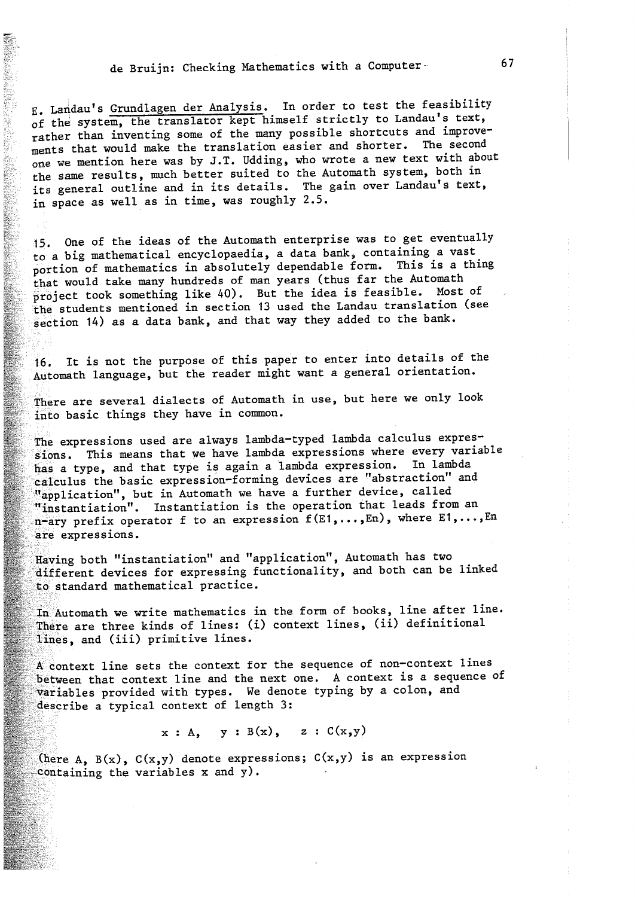E. Landau's Grundlagen der Analysis. In order to test the feasibility of the system, the translator kept himself strictly to Landau's text, rather than inventing some of the many possible shortcuts and improvements that would make the translation easier and shorter. The second one we mention here was by J.T. Udding, who wrote a new text with about the same results, much better suited to the Automath system, both in its general outline and in its details. The gain over Landau's text, in space as well as in time, was roughly 2.5.

15. One of the ideas of the Automath enterprise was to get eventually to a big mathematical encyclopaedia, a data bank, containing a vast portion of mathematics in absolutely dependable form. This is a thing that would take many hundreds of man years (thus far the Automath project took something like 40). But the idea is feasible. Most of the students mentioned in section 13 used the Landau translation (see section 14) as a data bank, and that way they added to the bank.

It is not the purpose of this paper to enter into details of the  $16.$ Automath language, but the reader might want a general orientation.

There are several dialects of Automath in use, but here we only look into basic things they have in common.

The expressions used are always lambda-typed lambda calculus expressions. This means that we have lambda expressions where every variable has a type, and that type is again a lambda expression. In lambda calculus the basic expression-forming devices are "abstraction" and "application", but in Automath we have a further device, called "instantiation". Instantiation is the operation that leads from an n-ary prefix operator f to an expression  $f(E1,...,En)$ , where  $E1,...,En$ are expressions.

Having both "instantiation" and "application", Automath has two different devices for expressing functionality, and both can be linked to standard mathematical practice.

In Automath we write mathematics in the form of books, line after line. There are three kinds of lines: (i) context lines, (ii) definitional lines, and (iii) primitive lines.

A context line sets the context for the sequence of non-context lines between that context line and the next one. A context is a sequence of variables provided with types. We denote typing by a colon, and describe a typical context of length 3:

 $x : A$ ,  $y : B(x)$ ,  $z : C(x,y)$ 

(here A, B(x), C(x,y) denote expressions; C(x,y) is an expression Containing the variables  $x$  and  $y$ ).

67